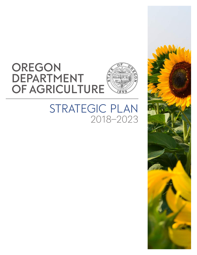# **Oregon Department OF AGRICULTURE**



# STRATEGIC PLAN 2018–2023

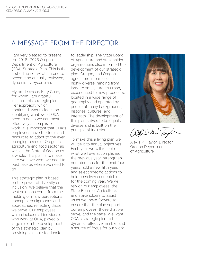# A message from the director

I am very pleased to present the 2018 - 2023 Oregon Department of Agriculture (ODA) Strategic Plan. This is the first edition of what I intend to become an annually reviewed, dynamic five-year plan.

My predecessor, Katy Coba, for whom I am grateful, initiated this strategic plan. Her approach, which I continued, was to focus on identifying what we at ODA need to do so we can most effectively accomplish our work. It is important that ODA's employees have the tools and resources to adapt to the everchanging needs of Oregon's agriculture and food sector as well as the State of Oregon as a whole. This plan is to make sure we have what we need to best take us where we need to go.

This strategic plan is based on the power of diversity and inclusion. We believe that the best solutions come from the melding of many perceptions, concepts, backgrounds and approaches, reflecting those we serve. Our employees, which includes all individuals who work at ODA, played a large role in the development of this strategic plan by providing valuable feedback

to leadership. The State Board of Agriculture and stakeholder organizations also informed the development of our strategic plan. Oregon, and Oregon agriculture in particular, is highly diverse, ranging from large to small, rural to urban, experienced to new producers, located in a wide range of geography and operated by people of many backgrounds, histories, cultures, and interests. The development of this plan strives to be equally diverse and is built on the principle of inclusion.

To make this a living plan we will tie it to annual objectives. Each year we will reflect on what we have accomplished the previous year, strengthen our intentions for the next four years, add a new fifth year, and select specific actions to hold ourselves accountable for the coming year. We will rely on our employees, the State Board of Agriculture, and stakeholders to assist us as we move forward to ensure that the plan supports our employees, those that we serve, and the state. We want ODA's strategic plan to be dynamic, effective, nimble, and a source of focus for our work.



Wais le Tayl

Alexis M. Taylor, Director Oregon Department of Agriculture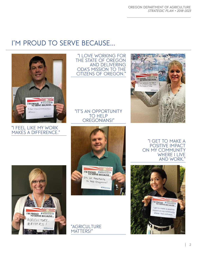# I'M PROUD TO SERVE BECAUSE...



#### "I feel like my work makes a difference."

I'M PROUD AGRICULTURE MATTERSI

"I love working for the State of Oregon and delivering ODA's mission to the citizens of Oregon."



#### "It's an opportunity TO HELP oregonians!"



"agriculture MATTERS!"

 "i get to make a positive impact on my community WHERE I LIVE and work."



 $\mathbb{L}$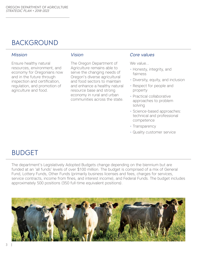# **BACKGROUND**

Ensure healthy natural resources, environment, and economy for Oregonians now and in the future through inspection and certification, regulation, and promotion of agriculture and food.

The Oregon Department of Agriculture remains able to serve the changing needs of Oregon's diverse agricultural and food sectors to maintain and enhance a healthy natural resource base and strong economy in rural and urban communities across the state.

#### *Mission Vision Core values*

We value…

- Honesty, integrity, and fairness
- Diversity, equity, and inclusion
- Respect for people and property
- Practical collaborative approaches to problem solving
- Science-based approaches: technical and professional competence
- Transparency
- Quality customer service

# **BUDGET**

The department's Legislatively Adopted Budgets change depending on the biennium but are funded at an 'all funds' levels of over \$100 million. The budget is comprised of a mix of General Fund, Lottery Funds, Other Funds (primarily business licenses and fees, charges for services, service contracts, income from fines, and interest income), and Federal Funds. The budget includes approximately 500 positions (350 full-time equivalent positions).

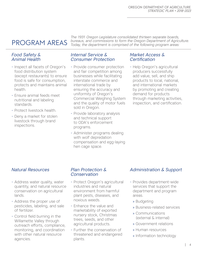# program areas

#### *Food Safety & Animal Health*

- Inspect all facets of Oregon's food distribution system (except restaurants) to ensure food is safe for consumption, protects and maintains animal health.
- Ensure animal feeds meet nutritional and labeling standards.
- Protect livestock health.
- Deny a market for stolen livestock through brand inspections.

*The 1931 Oregon Legislature consolidated thirteen separate boards, bureaus, and commissions to form the Oregon Department of Agriculture. Today, the department is comprised of the following program areas:*

#### *Internal Service & Consumer Protection*

- Provide consumer protection and fair competition among businesses while facilitating interstate commerce and international trade by ensuring the accuracy and uniformity of Oregon's Commercial Weighing System and the quality of motor fuels sold in Oregon.
- Provide laboratory analysis and technical support to ODA's enforcement programs.
- Administer programs dealing with wolf depredation compensation and egg-laying hen cage space.

#### *Market Access & Certification*

- Help Oregon's agricultural producers successfully add value, sell, and ship products to local, national, and international markets by promoting and creating demand for products through marketing activities, inspection, and certification.

#### *Natural Resources Plan Protection &*

- Address water quality, water quantity, and natural resource conservation on agricultural lands.
- Address the proper use of pesticides, labeling, and sale of fertilizer.
- Control field burning in the Willamette Valley through outreach efforts, compliance, monitoring, and coordination with other natural resource agencies.

# *Conservation*

- Protect Oregon's agricultural industries and natural environment from harmful plant pests, diseases, and noxious weeds.
- Enhance the value and marketability of exported nursery stock, Christmas trees, seeds, and other agricultural products.
- Further the conservation of threatened and endangered plants.

#### *Administration & Support*

- Provides department-wide services that support the department and program areas.
	- » Budgeting
	- » Business-related services
	- » Communications (external & internal)
	- » Government relations
	- » Human resources
	- » Information technology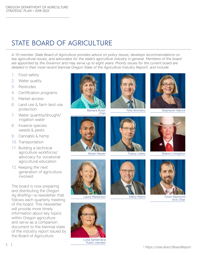# state board of agriculture

*A 10-member State Board of Agriculture provides advice on policy issues, develops recommendations on key agricultural issues, and advocates for the state's agriculture industry in general. Members of the board are appointed by the Governor and may serve up to eight years. Priority issues for the current board are detailed in their most recent biennial Oregon State of the Agriculture Industry Report1, and include:*

- 1. Food safety
- 2. Water quality
- 3. Pesticides
- 4. Certification programs
- 5. Market access
- 6. Land use & farm land use protection
- 7. Water quantity/drought/ irrigation water
- 8. Invasive species: weeds & pests
- 9. Cannabis & hemp
- 10. Transportation
- 11. Building a technical agriculture workforce/ advocacy for vocational agricultural education
- 12. Keeping the next generation of agriculture involved

The board is now preparing and distributing the *Oregon Ag Briefing*—a newsletter that follows each quarterly meeting of the board. This newsletter will provide more timely information about key topics within Oregon agriculture and serve as a companion document to the biennial state of the industry report issued by the Board of Agriculture.









Pete Brentano Stephanie Hallock











Laura Masterson **Marty Myers** Tyson Raymond *Vice Chair*



Luisa Santamaria *Public member*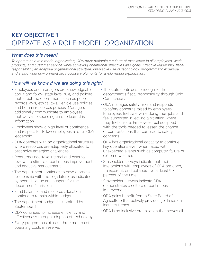# **key objective 1** Operate as a role model organization

### *What does this mean?*

*To operate as a role model organization, ODA must maintain a culture of excellence in all employees, work products, and customer service while achieving operational objectives and goals. Effective leadership, fiscal responsibility, an adaptive organizational structure, innovative use of technology, programmatic expertise, and a safe work environment are necessary elements for a role model organization.*

## *How will we know if we are doing this right?*

- Employees and managers are knowledgeable about and follow state laws, rule, and policies that affect the department, such as public records laws, ethics laws, vehicle use policies, and human resources policies. Managers additionally communicate to employees that we value spending time to learn this information.
- Employees show a high level of confidence and respect for fellow employees and for ODA leadership.
- ODA operates with an organizational structure where resources are adaptively allocated to best solve emerging challenges.
- Programs undertake internal and external reviews to stimulate continuous improvement and adaptive management.
- The department continues to have a positive relationship with the Legislature, as indicated by open dialogue and support for the department's mission.
- Fund balances and resource allocation continue to remain within budget.
- The department budget is submitted by September 1.
- ODA continues to increase efficiency and effectiveness through adoption of technology.
- Every program has at least three months of operating costs in reserve.
- The state continues to recognize the department's fiscal responsibility through Gold Certification.
- ODA manages safety risks and responds to safety concerns raised by employees. Employees feel safe while doing their jobs and feel supported in leaving a situation where they feel unsafe. Employees feel equipped with the tools needed to lessen the chance of confrontations that can lead to safety concerns.
- ODA has organizational capacity to continue key operations even when faced with unexpected events such as computer failure or extreme weather.
- Stakeholder surveys indicate that their interactions with employees of ODA are open, transparent, and collaborative at least 90 percent of the time.
- Stakeholder surveys indicate ODA demonstrates a culture of continuous improvement.
- ODA gains benefit from a State Board of Agriculture that actively provides guidance on industry trends.
- ODA is an inclusive organization that serves all.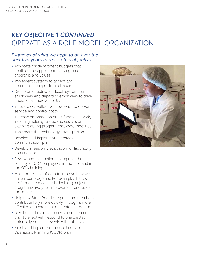# **key objective 1 continued** Operate as a role model organization

- Advocate for department budgets that continue to support our evolving core programs and values.
- Implement systems to accept and communicate input from all sources.
- Create an effective feedback system from employees and departing employees to drive operational improvements.
- Innovate cost-effective, new ways to deliver service and control costs.
- Increase emphasis on cross-functional work, including holding related discussions and planning during program employee meetings.
- Implement the technology strategic plan.
- Develop and implement a strategic communication plan.
- Develop a feasibility evaluation for laboratory consolidation.
- Review and take actions to improve the security of ODA employees in the field and in the ODA building.
- Make better use of data to improve how we deliver our programs. For example, if a key performance measure is declining, adjust program delivery for improvement and track the impact.
- Help new State Board of Agriculture members contribute fully more quickly through a more effective onboarding and orientation program.
- Develop and maintain a crisis management plan to effectively respond to unexpected potentially negative events without delay.
- Finish and implement the Continuity of Operations Planning (COOP) plan.

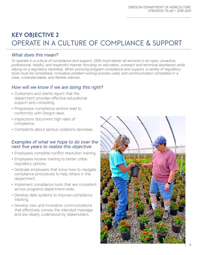# **key objective 2** Operate in a culture of compliance & support

### *What does this mean?*

*To operate in a culture of compliance and support, ODA must deliver all services in an open, proactive, professional, helpful, and respectful manner focusing on education, outreach and technical assistance while relying on a regulatory backstop. When pursuing program compliance and support, a variety of regulatory tools must be considered, innovative problem-solving process used, and communication completed in a clear, understandable, and flexible manner.*

### *How will we know if we are doing this right?*

- Customers and clients report that the department provides effective educational support and consulting.
- Progressive compliance actions lead to conformity with Oregon laws.
- Inspections document high rates of compliance.
- Complaints about serious violations decrease.

- Employees complete conflict resolution training.
- Employees receive training to better utilize regulatory options.
- Dedicate employees that know how to navigate compliance procedures to help others in the department.
- Implement compliance tools that are consistent across programs department-wide.
- Develop data systems to improve compliance tracking.
- Develop new and innovative communications that effectively convey the intended message and are clearly understood by stakeholders.

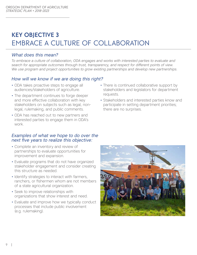# **key objective 3** Embrace a culture of collaboration

### *What does this mean?*

*To embrace a culture of collaboration, ODA engages and works with interested parties to evaluate and search for appropriate outcomes through trust, transparency, and respect for different points of view. We use program and project opportunities to grow existing partnerships and develop new partnerships.*

### *How will we know if we are doing this right?*

- ODA takes proactive steps to engage all audiences/stakeholders of agriculture.
- The department continues to forge deeper and more effective collaboration with key stakeholders on subjects such as legal, nonlegal, rulemaking, and public comments.
- ODA has reached out to new partners and interested parties to engage them in ODA's work.

- Complete an inventory and review of partnerships to evaluate opportunities for improvement and expansion.
- Evaluate programs that do not have organized stakeholder engagement and consider creating this structure as needed.
- Identify strategies to interact with farmers, ranchers, or fishermen whom are not members of a state agricultural organization.
- Seek to improve relationships with organizations that show interest and need.
- Evaluate and improve how we typically conduct processes that include public involvement (e.g. rulemaking).
- There is continued collaborative support by stakeholders and legislators for department requests.
- Stakeholders and interested parties know and participate in setting department priorities; there are no surprises.

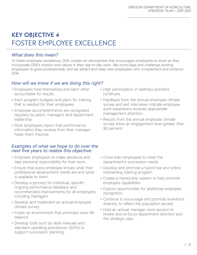# **key objective 4** Foster employee excellence

### *What does this mean?*

*To foster employee excellence, ODA creates an atmosphere that encourages employees to excel as they*  incorporate ODA's mission and values in their day-to-day work. We encourage and challenge existing *employees to grow professionally, and we attract and keep new employees who complement and enhance ODA.*

## *How will we know if we are doing this right?*

- Employees hold themselves and each other accountable for results.
- Each program budgets and plans for training that is needed for their employees.
- Employee accomplishments are recognized regularly by peers, managers and department leadership.
- Most employees report that performance information they receive from their manager helps them improve.

- Empower employees to make decisions and take personal responsibility for their work.
- Ensure that every employee knows what their professional development needs are and what is available to them.
- Develop a process for individual, specific ongoing performance feedback and recommended improvements for all employees, including managers.
- Develop and implement an annual employee climate survey.
- Foster an environment that promotes work life balance.
- Develop tools such as desk manuals and standard operating procedures (SOPs) to support succession planning.
- High participation in wellness activities continues.
- Feedback from the annual employee climate survey and exit interviews indicate employee work experience receives appropriate management attention.
- Results from the annual employee climate survey show an engagement level greater than 90 percent.
- Cross-train employees to meet the department's succession needs.
- Develop and promote a hybrid live and online onboarding training program.
- Create a mentorship system to help promote employee capabilities.
- Explore opportunities for additional employee recognition.
- Continue to encourage and promote workforce diversity to reflect the population served.
- Hold an annual manager work session to review and re-focus department direction and the strategic plan.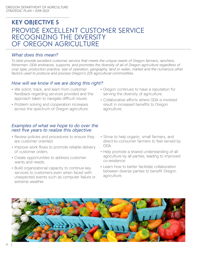# **key objective 5** Provide excellent customer service recognizing the diversity OF OREGON AGRICULTURE

### *What does this mean?*

*To best provide excellent customer service that meets the unique needs of Oregon farmers, ranchers, fishermen. ODA embraces, supports, and promotes the diversity of all of Oregon agriculture regardless of crop type, production practice, size of operation, geography, land or water, market and the numerous other factors used to produce and process Oregon's 225 agricultural commodities.*

### *How will we know if we are doing this right?*

- We solicit, track, and learn from customer feedback regarding services provided and the approach taken to navigate difficult issues.
- Problem solving and cooperation increases across the spectrum of Oregon agriculture.

- Review policies and procedures to ensure they are customer oriented.
- Improve work flows to promote reliable delivery of customer orders.
- Create opportunities to address customer wants and needs.
- Build organizational capacity to continue key services to customers even when faced with unexpected events such as computer failure or extreme weather.
- Oregon continues to have a reputation for serving the diversity of agriculture.
- Collaborative efforts where ODA is involved result in increased benefits to Oregon agriculture.
- Strive to help organic, small farmers, and direct-to-consumer farmers to feel served by ODA.
- Help promote a shared understanding of all agriculture by all parties, leading to improved co-existence.
- Learn how to better facilitate collaboration between diverse parties to benefit Oregon agriculture.

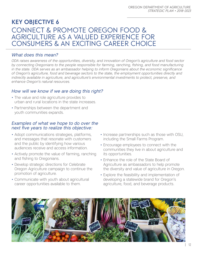# **key objective 6** Connect & promote Oregon food & agriculture as a valued experience for consumers & an exciting career choice

### *What does this mean?*

*ODA raises awareness of the opportunities, diversity, and innovation of Oregon's agriculture and food sector by connecting Oregonians to the people responsible for farming, ranching, fishing, and food manufacturing in the state. ODA serves as an ambassador helping to inform Oregonians about the economic significance of Oregon's agriculture, food and beverage sectors to the state, the employment opportunities directly and indirectly available in agriculture, and agriculture's environmental investments to protect, preserve, and enhance Oregon's natural resources.*

### *How will we know if we are doing this right?*

- The value and role agriculture provides to urban and rural locations in the state increases.
- Partnerships between the department and youth communities expands.

- Adopt communications strategies, platforms, and messages that resonate with customers and the public by identifying how various audiences receive and access information.
- Actively promote the value of farming, ranching and fishing to Oregonians.
- Develop strategic directions for Celebrate Oregon Agriculture campaign to continue the promotion of agriculture.
- Communicate with youth about agricultural career opportunities available to them.
- Increase partnerships such as those with OSU, including the Small Farms Program.
- Encourage employees to connect with the communities they live in about agriculture and its opportunities.
- Enhance the role of the State Board of Agriculture as ambassadors to help promote the diversity and value of agriculture in Oregon.
- Explore the feasibility and implementation of developing a statewide brand for Oregon's agriculture, food, and beverage products.

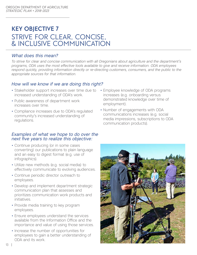# **key objective 7** Strive for clear, concise, & inclusive communication

#### *What does this mean?*

*To strive for clear and concise communication with all Oregonians about agriculture and the department's programs, ODA uses the most effective tools available to give and receive information. ODA employees respond quickly, providing information directly or re-directing customers, consumers, and the public to the appropriate sources for that information.* 

### *How will we know if we are doing this right?*

- Stakeholder support increases over time due to increased understanding of ODA's work.
- Public awareness of department work increases over time.
- Compliance increases due to ODA's regulated community's increased understanding of regulations.

- Continue producing (or in some cases converting) our publications to plain language and an easy to digest format (e.g. use of infographics).
- Utilize new methods (e.g. social media) to effectively communicate to evolving audiences.
- Continue periodic director outreach to employees.
- Develop and implement department strategic communication plan that assesses and prioritizes communication work products and initiatives.
- Provide media training to key program employees.
- Ensure employees understand the services available from the Information Office and the importance and value of using those services.
- Increase the number of opportunities for employees to gain a better understanding of ODA and its work.
- Employee knowledge of ODA programs increases (e.g. onboarding versus demonstrated knowledge over time of employment).
- Number of engagements with ODA communications increases (e.g. social media impressions, subscriptions to ODA communication products).

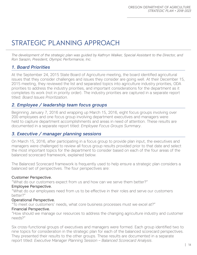# Strategic Planning Approach

*The development of the strategic plan was guided by Kathryn Walker, Special Assistant to the Director, and Ron Sarazin, President, Olympic Performance, Inc.*

### *1. Board Priorities*

At the September 24, 2015 State Board of Agriculture meeting, the board identified agricultural issues that they consider challenges and issues they consider are going well. At their December 15, 2015 meeting, they reviewed the list and separated topics into agriculture industry priorities, ODA priorities to address the industry priorities, and important considerations for the department as it completes its work (not in priority order). The industry priorities are captured in a separate report titled: *Board Issues Prioritization*.

### *2. Employee / leadership team focus groups*

Beginning January 7, 2016 and wrapping up March 15, 2016, eight focus groups involving over 200 employees and one focus group involving department executives and managers were held to capture department accomplishments and areas in need of attention. These results are documented in a separate report titled: *Employee Focus Groups Summary*.

### *3. Executive / manager planning sessions*

On March 15, 2016, after participating in a focus group to provide plan input, the executives and managers were challenged to review all focus group results provided prior to that date and select the most important topics for the department to consider based on each of the four areas of the balanced scorecard framework, explained below.

The Balanced Scorecard framework is frequently used to help ensure a strategic plan considers a balanced set of perspectives. The four perspectives are:

#### Customer Perspective.

"What do our customers expect from us and how can we serve them better?"

#### Employee Perspective.

"What do our employees need from us to be effective in their roles and serve our customers better?"

#### Operational Perspective.

"To meet our customers' needs, what core business processes must we excel at?"

#### Financial Perspective.

"How should we manage our resources to address the changing agriculture industry and customer needs?"

Six cross-functional groups of executives and managers were formed. Each group identified two to nine topics for consideration in the strategic plan for each of the balanced scorecard perspectives. They presented their results to the other groups. These results are documented in a separate report titled: *Executive Manager Planning Session – Balanced Scorecard Analysis*.